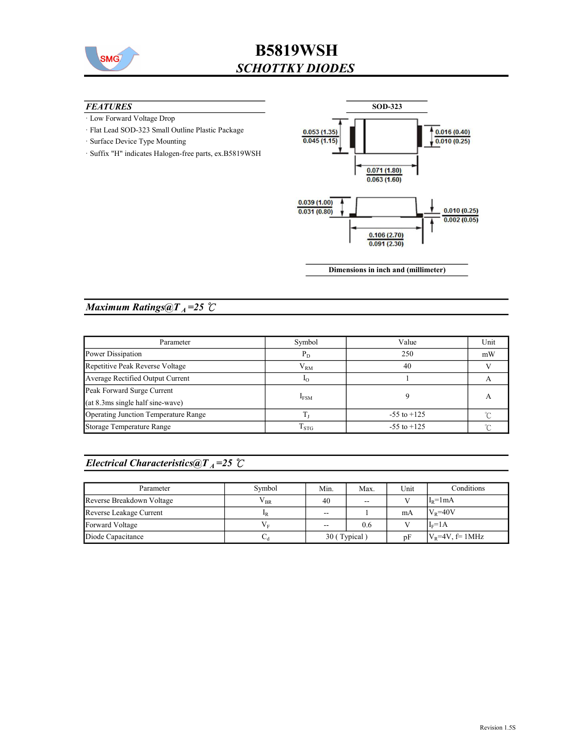

#### **FEATURES**

- · Low Forward Voltage Drop
- · Flat Lead SOD-323 Small Outline Plastic Package
- · Surface Device Type Mounting
- · Suffix "H" indicates Halogen-free parts, ex.B5819WSH



Dimensions in inch and (millimeter)

## Maximum Ratings@ $T_A = 25$  °C

| Parameter                            | Symbol             | Value           | Unit |
|--------------------------------------|--------------------|-----------------|------|
| Power Dissipation                    | $P_D$              | 250             | mW   |
| Repetitive Peak Reverse Voltage      | ${\rm V}_{\rm RM}$ | 40              |      |
| Average Rectified Output Current     | $10^{-1}$          |                 |      |
| Peak Forward Surge Current           |                    |                 |      |
| $(at 8.3ms single half sine-wave)$   | $I_{FSM}$          |                 | А    |
| Operating Junction Temperature Range |                    | $-55$ to $+125$ |      |
| Storage Temperature Range            | $\mathrm{T_{STG}}$ | $-55$ to $+125$ |      |

## Electrical Characteristics@T<sub>A</sub>=25  $\mathcal{C}$

| Parameter                 | Symbol       | Min.              | Max. | Unit | Conditions         |
|---------------------------|--------------|-------------------|------|------|--------------------|
| Reverse Breakdown Voltage | $\rm V_{BR}$ | 40                | $-$  |      | $I_R = 1 mA$       |
| Reverse Leakage Current   | $_{\rm 1R}$  | $\sim$ $\sim$     |      | mA   | $V_R = 40V$        |
| Forward Voltage           |              | $\hspace{0.05cm}$ | 0.6  |      | $I_F = 1A$         |
| Diode Capacitance         | ∪d           | 30 (Typical)      |      | pF   | $V_R$ =4V, f= 1MHz |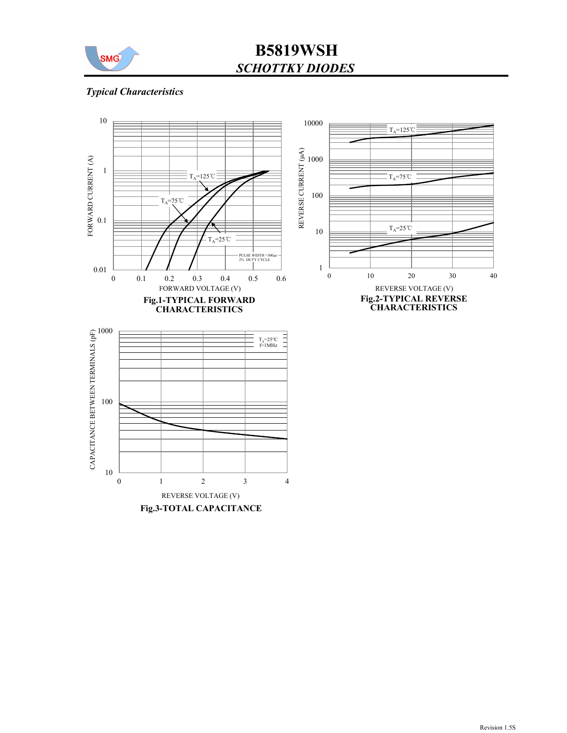

## Typical Characteristics



Fig.3-TOTAL CAPACITANCE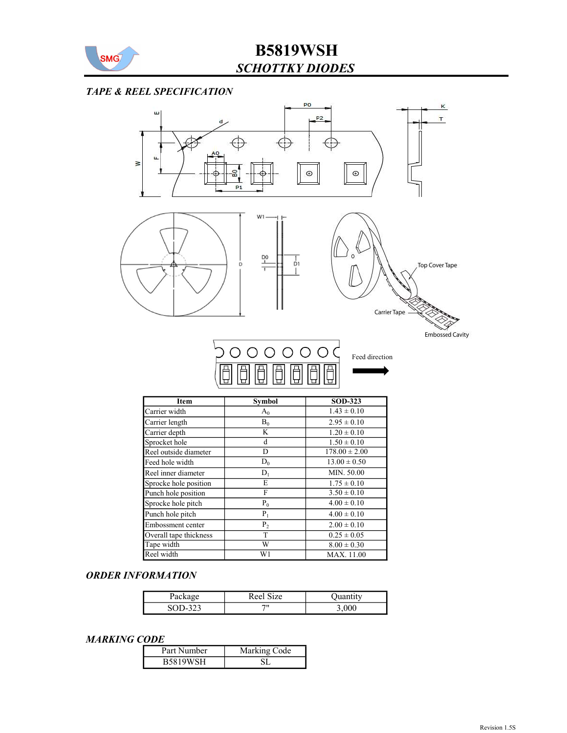

#### TAPE & REEL SPECIFICATION



| Item                   | <b>Symbol</b>  | <b>SOD-323</b>    |  |  |
|------------------------|----------------|-------------------|--|--|
| Carrier width          | $A_0$          | $1.43 \pm 0.10$   |  |  |
| Carrier length         | $B_0$          | $2.95 \pm 0.10$   |  |  |
| Carrier depth          | K              | $1.20 \pm 0.10$   |  |  |
| Sprocket hole          | d              | $1.50 \pm 0.10$   |  |  |
| Reel outside diameter  | D              | $178.00 \pm 2.00$ |  |  |
| Feed hole width        | $D_0$          | $13.00 \pm 0.50$  |  |  |
| Reel inner diameter    | $D_1$          | MIN. 50.00        |  |  |
| Sprocke hole position  | E              | $1.75 \pm 0.10$   |  |  |
| Punch hole position    | F              | $3.50 \pm 0.10$   |  |  |
| Sprocke hole pitch     | $P_0$          | $4.00 \pm 0.10$   |  |  |
| Punch hole pitch       | $P_1$          | $4.00 \pm 0.10$   |  |  |
| Embossment center      | P <sub>2</sub> | $2.00 \pm 0.10$   |  |  |
| Overall tape thickness | T              | $0.25 \pm 0.05$   |  |  |
| Tape width             | W              | $8.00 \pm 0.30$   |  |  |
| Reel width             | W1             | MAX. 11.00        |  |  |

#### ORDER INFORMATION

| Package      | Reel Size |       |
|--------------|-----------|-------|
| 323<br>SOD-. | 711       | 3,000 |

#### MARKING CODE

| -------         |              |
|-----------------|--------------|
| Part Number     | Marking Code |
| <b>B5819WSH</b> |              |